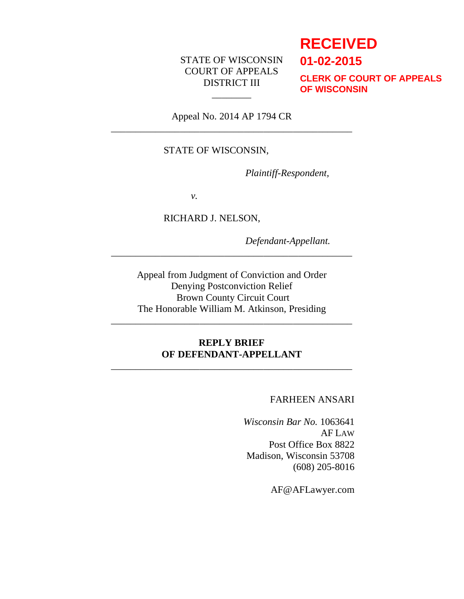# STATE OF WISCONSIN COURT OF APPEALS DISTRICT III

# **RECEIVED**

**01-02-2015**

**CLERK OF COURT OF APPEALS OF WISCONSIN**

Appeal No. 2014 AP 1794 CR \_\_\_\_\_\_\_\_\_\_\_\_\_\_\_\_\_\_\_\_\_\_\_\_\_\_\_\_\_\_\_\_\_\_\_\_\_\_\_\_\_\_\_\_\_\_\_\_\_

 $\overline{\phantom{a}}$ 

## STATE OF WISCONSIN,

*Plaintiff-Respondent,*

*v.*

RICHARD J. NELSON,

*Defendant-Appellant.*

Appeal from Judgment of Conviction and Order Denying Postconviction Relief Brown County Circuit Court The Honorable William M. Atkinson, Presiding

\_\_\_\_\_\_\_\_\_\_\_\_\_\_\_\_\_\_\_\_\_\_\_\_\_\_\_\_\_\_\_\_\_\_\_\_\_\_\_\_\_\_\_\_\_\_\_\_\_

\_\_\_\_\_\_\_\_\_\_\_\_\_\_\_\_\_\_\_\_\_\_\_\_\_\_\_\_\_\_\_\_\_\_\_\_\_\_\_\_\_\_\_\_\_\_\_\_\_

# **REPLY BRIEF OF DEFENDANT-APPELLANT**

\_\_\_\_\_\_\_\_\_\_\_\_\_\_\_\_\_\_\_\_\_\_\_\_\_\_\_\_\_\_\_\_\_\_\_\_\_\_\_\_\_\_\_\_\_\_\_\_\_

## FARHEEN ANSARI

*Wisconsin Bar No.* 1063641 AF LAW Post Office Box 8822 Madison, Wisconsin 53708 (608) 205-8016

AF@AFLawyer.com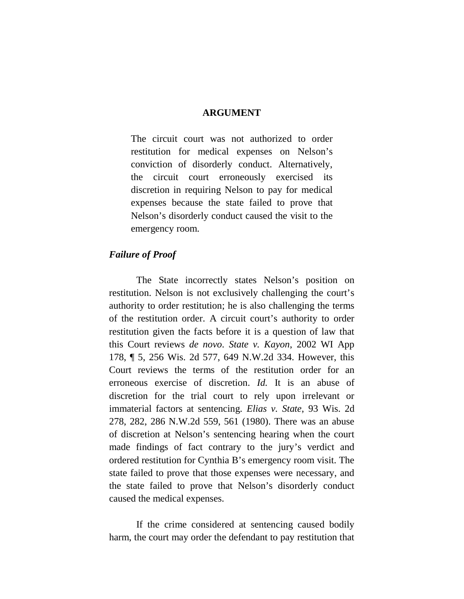#### **ARGUMENT**

The circuit court was not authorized to order restitution for medical expenses on Nelson's conviction of disorderly conduct. Alternatively, the circuit court erroneously exercised its discretion in requiring Nelson to pay for medical expenses because the state failed to prove that Nelson's disorderly conduct caused the visit to the emergency room.

#### *Failure of Proof*

The State incorrectly states Nelson's position on restitution. Nelson is not exclusively challenging the court's authority to order restitution; he is also challenging the terms of the restitution order. A circuit court's authority to order restitution given the facts before it is a question of law that this Court reviews *de novo*. *State v. Kayon*, 2002 WI App 178, ¶ 5, 256 Wis. 2d 577, 649 N.W.2d 334. However, this Court reviews the terms of the restitution order for an erroneous exercise of discretion. *Id.* It is an abuse of discretion for the trial court to rely upon irrelevant or immaterial factors at sentencing. *Elias v. State*, 93 Wis. 2d 278, 282, 286 N.W.2d 559, 561 (1980). There was an abuse of discretion at Nelson's sentencing hearing when the court made findings of fact contrary to the jury's verdict and ordered restitution for Cynthia B's emergency room visit. The state failed to prove that those expenses were necessary, and the state failed to prove that Nelson's disorderly conduct caused the medical expenses.

If the crime considered at sentencing caused bodily harm, the court may order the defendant to pay restitution that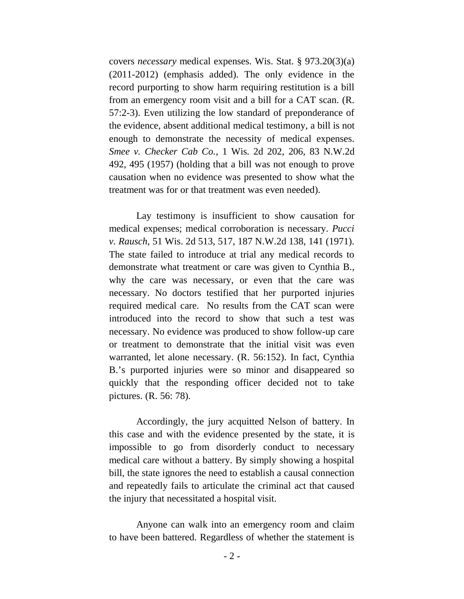covers *necessary* medical expenses. Wis. Stat. § 973.20(3)(a) (2011-2012) (emphasis added). The only evidence in the record purporting to show harm requiring restitution is a bill from an emergency room visit and a bill for a CAT scan. (R. 57:2-3). Even utilizing the low standard of preponderance of the evidence, absent additional medical testimony, a bill is not enough to demonstrate the necessity of medical expenses. *Smee v. Checker Cab Co.*, 1 Wis. 2d 202, 206, 83 N.W.2d 492, 495 (1957) (holding that a bill was not enough to prove causation when no evidence was presented to show what the treatment was for or that treatment was even needed).

Lay testimony is insufficient to show causation for medical expenses; medical corroboration is necessary. *Pucci v. Rausch*, 51 Wis. 2d 513, 517, 187 N.W.2d 138, 141 (1971). The state failed to introduce at trial any medical records to demonstrate what treatment or care was given to Cynthia B., why the care was necessary, or even that the care was necessary. No doctors testified that her purported injuries required medical care. No results from the CAT scan were introduced into the record to show that such a test was necessary. No evidence was produced to show follow-up care or treatment to demonstrate that the initial visit was even warranted, let alone necessary. (R. 56:152). In fact, Cynthia B.'s purported injuries were so minor and disappeared so quickly that the responding officer decided not to take pictures. (R. 56: 78).

Accordingly, the jury acquitted Nelson of battery. In this case and with the evidence presented by the state, it is impossible to go from disorderly conduct to necessary medical care without a battery. By simply showing a hospital bill, the state ignores the need to establish a causal connection and repeatedly fails to articulate the criminal act that caused the injury that necessitated a hospital visit.

Anyone can walk into an emergency room and claim to have been battered. Regardless of whether the statement is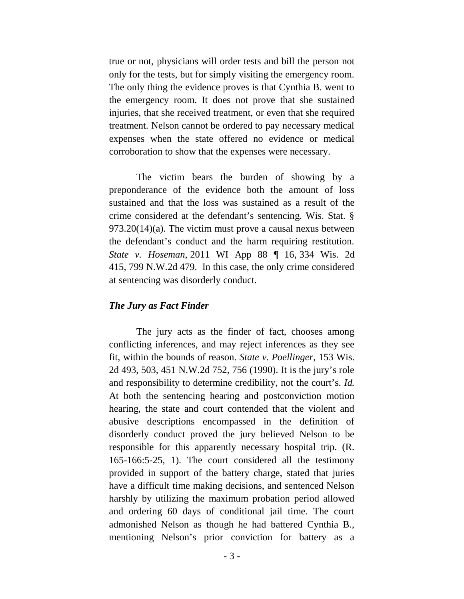true or not, physicians will order tests and bill the person not only for the tests, but for simply visiting the emergency room. The only thing the evidence proves is that Cynthia B. went to the emergency room. It does not prove that she sustained injuries, that she received treatment, or even that she required treatment. Nelson cannot be ordered to pay necessary medical expenses when the state offered no evidence or medical corroboration to show that the expenses were necessary.

The victim bears the burden of showing by a preponderance of the evidence both the amount of loss sustained and that the loss was sustained as a result of the crime considered at the defendant's sentencing. Wis. Stat. § 973.20(14)(a). The victim must prove a causal nexus between the defendant's conduct and the harm requiring restitution. *State v. Hoseman*, 2011 WI App 88 ¶ 16, 334 Wis. 2d 415, 799 N.W.2d 479. In this case, the only crime considered at sentencing was disorderly conduct.

#### *The Jury as Fact Finder*

The jury acts as the finder of fact, chooses among conflicting inferences, and may reject inferences as they see fit, within the bounds of reason. *State v. Poellinger*, 153 Wis. 2d 493, 503, 451 N.W.2d 752, 756 (1990). It is the jury's role and responsibility to determine credibility, not the court's. *Id.*  At both the sentencing hearing and postconviction motion hearing, the state and court contended that the violent and abusive descriptions encompassed in the definition of disorderly conduct proved the jury believed Nelson to be responsible for this apparently necessary hospital trip. (R. 165-166:5-25, 1). The court considered all the testimony provided in support of the battery charge, stated that juries have a difficult time making decisions, and sentenced Nelson harshly by utilizing the maximum probation period allowed and ordering 60 days of conditional jail time. The court admonished Nelson as though he had battered Cynthia B., mentioning Nelson's prior conviction for battery as a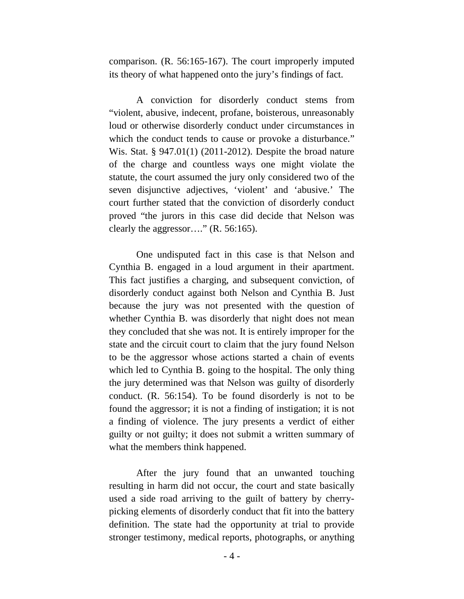comparison. (R. 56:165-167). The court improperly imputed its theory of what happened onto the jury's findings of fact.

A conviction for disorderly conduct stems from "violent, abusive, indecent, profane, boisterous, unreasonably loud or otherwise disorderly conduct under circumstances in which the conduct tends to cause or provoke a disturbance." Wis. Stat. § 947.01(1) (2011-2012). Despite the broad nature of the charge and countless ways one might violate the statute, the court assumed the jury only considered two of the seven disjunctive adjectives, 'violent' and 'abusive.' The court further stated that the conviction of disorderly conduct proved "the jurors in this case did decide that Nelson was clearly the aggressor…." (R. 56:165).

One undisputed fact in this case is that Nelson and Cynthia B. engaged in a loud argument in their apartment. This fact justifies a charging, and subsequent conviction, of disorderly conduct against both Nelson and Cynthia B. Just because the jury was not presented with the question of whether Cynthia B. was disorderly that night does not mean they concluded that she was not. It is entirely improper for the state and the circuit court to claim that the jury found Nelson to be the aggressor whose actions started a chain of events which led to Cynthia B. going to the hospital. The only thing the jury determined was that Nelson was guilty of disorderly conduct. (R. 56:154). To be found disorderly is not to be found the aggressor; it is not a finding of instigation; it is not a finding of violence. The jury presents a verdict of either guilty or not guilty; it does not submit a written summary of what the members think happened.

After the jury found that an unwanted touching resulting in harm did not occur, the court and state basically used a side road arriving to the guilt of battery by cherrypicking elements of disorderly conduct that fit into the battery definition. The state had the opportunity at trial to provide stronger testimony, medical reports, photographs, or anything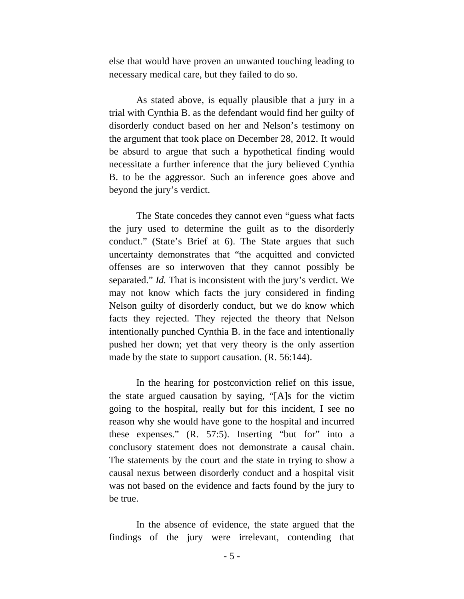else that would have proven an unwanted touching leading to necessary medical care, but they failed to do so.

As stated above, is equally plausible that a jury in a trial with Cynthia B. as the defendant would find her guilty of disorderly conduct based on her and Nelson's testimony on the argument that took place on December 28, 2012. It would be absurd to argue that such a hypothetical finding would necessitate a further inference that the jury believed Cynthia B. to be the aggressor. Such an inference goes above and beyond the jury's verdict.

The State concedes they cannot even "guess what facts the jury used to determine the guilt as to the disorderly conduct." (State's Brief at 6). The State argues that such uncertainty demonstrates that "the acquitted and convicted offenses are so interwoven that they cannot possibly be separated." *Id.* That is inconsistent with the jury's verdict. We may not know which facts the jury considered in finding Nelson guilty of disorderly conduct, but we do know which facts they rejected. They rejected the theory that Nelson intentionally punched Cynthia B. in the face and intentionally pushed her down; yet that very theory is the only assertion made by the state to support causation. (R. 56:144).

In the hearing for postconviction relief on this issue, the state argued causation by saying, "[A]s for the victim going to the hospital, really but for this incident, I see no reason why she would have gone to the hospital and incurred these expenses." (R. 57:5). Inserting "but for" into a conclusory statement does not demonstrate a causal chain. The statements by the court and the state in trying to show a causal nexus between disorderly conduct and a hospital visit was not based on the evidence and facts found by the jury to be true.

In the absence of evidence, the state argued that the findings of the jury were irrelevant, contending that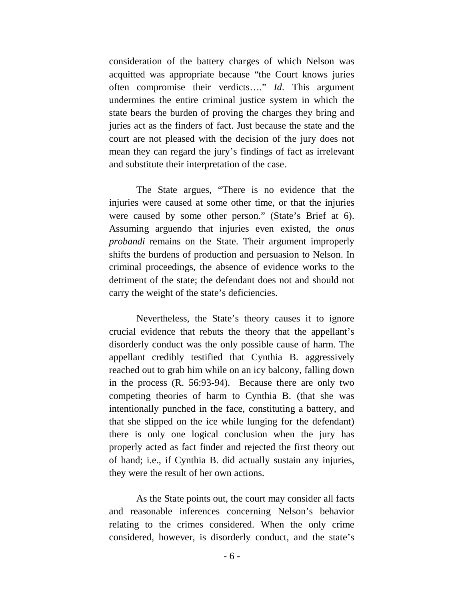consideration of the battery charges of which Nelson was acquitted was appropriate because "the Court knows juries often compromise their verdicts…." *Id*. This argument undermines the entire criminal justice system in which the state bears the burden of proving the charges they bring and juries act as the finders of fact. Just because the state and the court are not pleased with the decision of the jury does not mean they can regard the jury's findings of fact as irrelevant and substitute their interpretation of the case.

The State argues, "There is no evidence that the injuries were caused at some other time, or that the injuries were caused by some other person." (State's Brief at 6). Assuming arguendo that injuries even existed, the *onus probandi* remains on the State. Their argument improperly shifts the burdens of production and persuasion to Nelson. In criminal proceedings, the absence of evidence works to the detriment of the state; the defendant does not and should not carry the weight of the state's deficiencies.

Nevertheless, the State's theory causes it to ignore crucial evidence that rebuts the theory that the appellant's disorderly conduct was the only possible cause of harm. The appellant credibly testified that Cynthia B. aggressively reached out to grab him while on an icy balcony, falling down in the process (R. 56:93-94). Because there are only two competing theories of harm to Cynthia B. (that she was intentionally punched in the face, constituting a battery, and that she slipped on the ice while lunging for the defendant) there is only one logical conclusion when the jury has properly acted as fact finder and rejected the first theory out of hand; i.e., if Cynthia B. did actually sustain any injuries, they were the result of her own actions.

As the State points out, the court may consider all facts and reasonable inferences concerning Nelson's behavior relating to the crimes considered. When the only crime considered, however, is disorderly conduct, and the state's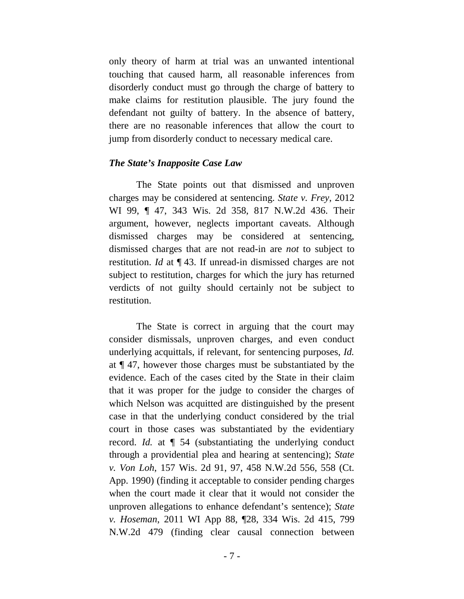only theory of harm at trial was an unwanted intentional touching that caused harm, all reasonable inferences from disorderly conduct must go through the charge of battery to make claims for restitution plausible. The jury found the defendant not guilty of battery. In the absence of battery, there are no reasonable inferences that allow the court to jump from disorderly conduct to necessary medical care.

#### *The State's Inapposite Case Law*

The State points out that dismissed and unproven charges may be considered at sentencing. *State v. Frey*, 2012 WI 99, ¶ 47, 343 Wis. 2d 358, 817 N.W.2d 436. Their argument, however, neglects important caveats. Although dismissed charges may be considered at sentencing, dismissed charges that are not read-in are *not* to subject to restitution. *Id* at ¶ 43. If unread-in dismissed charges are not subject to restitution, charges for which the jury has returned verdicts of not guilty should certainly not be subject to restitution.

The State is correct in arguing that the court may consider dismissals, unproven charges, and even conduct underlying acquittals, if relevant, for sentencing purposes, *Id.* at ¶ 47, however those charges must be substantiated by the evidence. Each of the cases cited by the State in their claim that it was proper for the judge to consider the charges of which Nelson was acquitted are distinguished by the present case in that the underlying conduct considered by the trial court in those cases was substantiated by the evidentiary record. *Id.* at ¶ 54 (substantiating the underlying conduct through a providential plea and hearing at sentencing); *State v. Von Loh*, 157 Wis. 2d 91, 97, 458 N.W.2d 556, 558 (Ct. App. 1990) (finding it acceptable to consider pending charges when the court made it clear that it would not consider the unproven allegations to enhance defendant's sentence); *State v. Hoseman*, 2011 WI App 88, ¶28, 334 Wis. 2d 415, 799 N.W.2d 479 (finding clear causal connection between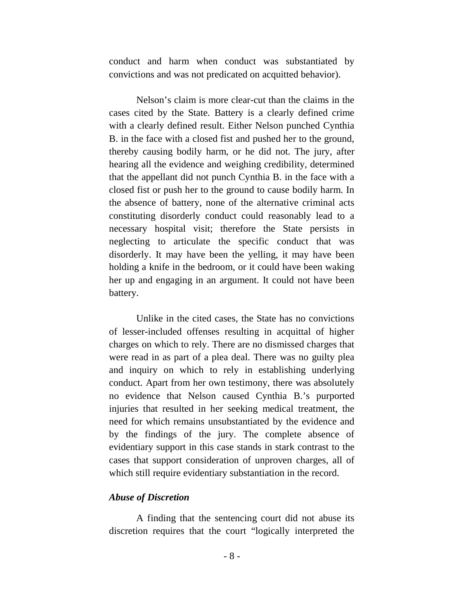conduct and harm when conduct was substantiated by convictions and was not predicated on acquitted behavior).

Nelson's claim is more clear-cut than the claims in the cases cited by the State. Battery is a clearly defined crime with a clearly defined result. Either Nelson punched Cynthia B. in the face with a closed fist and pushed her to the ground, thereby causing bodily harm, or he did not. The jury, after hearing all the evidence and weighing credibility, determined that the appellant did not punch Cynthia B. in the face with a closed fist or push her to the ground to cause bodily harm. In the absence of battery, none of the alternative criminal acts constituting disorderly conduct could reasonably lead to a necessary hospital visit; therefore the State persists in neglecting to articulate the specific conduct that was disorderly. It may have been the yelling, it may have been holding a knife in the bedroom, or it could have been waking her up and engaging in an argument. It could not have been battery.

Unlike in the cited cases, the State has no convictions of lesser-included offenses resulting in acquittal of higher charges on which to rely. There are no dismissed charges that were read in as part of a plea deal. There was no guilty plea and inquiry on which to rely in establishing underlying conduct. Apart from her own testimony, there was absolutely no evidence that Nelson caused Cynthia B.'s purported injuries that resulted in her seeking medical treatment, the need for which remains unsubstantiated by the evidence and by the findings of the jury. The complete absence of evidentiary support in this case stands in stark contrast to the cases that support consideration of unproven charges, all of which still require evidentiary substantiation in the record.

#### *Abuse of Discretion*

A finding that the sentencing court did not abuse its discretion requires that the court "logically interpreted the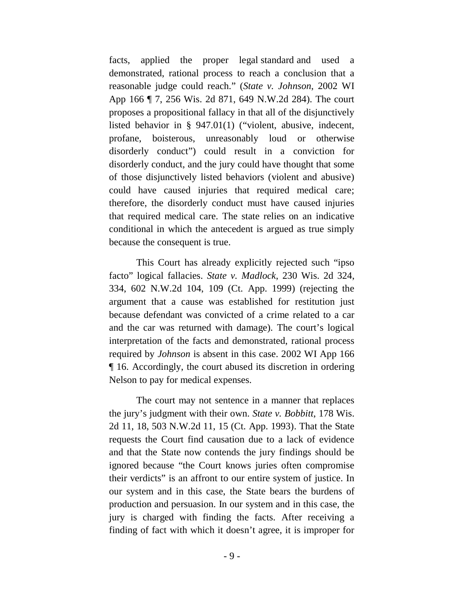facts, applied the proper legal standard and used a demonstrated, rational process to reach a conclusion that a reasonable judge could reach." (*State v. Johnson*, 2002 WI App 166 ¶ 7, 256 Wis. 2d 871, 649 N.W.2d 284). The court proposes a propositional fallacy in that all of the disjunctively listed behavior in § 947.01(1) ("violent, abusive, indecent, profane, boisterous, unreasonably loud or otherwise disorderly conduct") could result in a conviction for disorderly conduct, and the jury could have thought that some of those disjunctively listed behaviors (violent and abusive) could have caused injuries that required medical care; therefore, the disorderly conduct must have caused injuries that required medical care. The state relies on an indicative conditional in which the antecedent is argued as true simply because the consequent is true.

This Court has already explicitly rejected such "ipso facto" logical fallacies. *State v. Madlock*, 230 Wis. 2d 324, 334, 602 N.W.2d 104, 109 (Ct. App. 1999) (rejecting the argument that a cause was established for restitution just because defendant was convicted of a crime related to a car and the car was returned with damage). The court's logical interpretation of the facts and demonstrated, rational process required by *Johnson* is absent in this case. 2002 WI App 166 ¶ 16. Accordingly, the court abused its discretion in ordering Nelson to pay for medical expenses.

The court may not sentence in a manner that replaces the jury's judgment with their own. *State v. Bobbitt*, 178 Wis. 2d 11, 18, 503 N.W.2d 11, 15 (Ct. App. 1993). That the State requests the Court find causation due to a lack of evidence and that the State now contends the jury findings should be ignored because "the Court knows juries often compromise their verdicts" is an affront to our entire system of justice. In our system and in this case, the State bears the burdens of production and persuasion. In our system and in this case, the jury is charged with finding the facts. After receiving a finding of fact with which it doesn't agree, it is improper for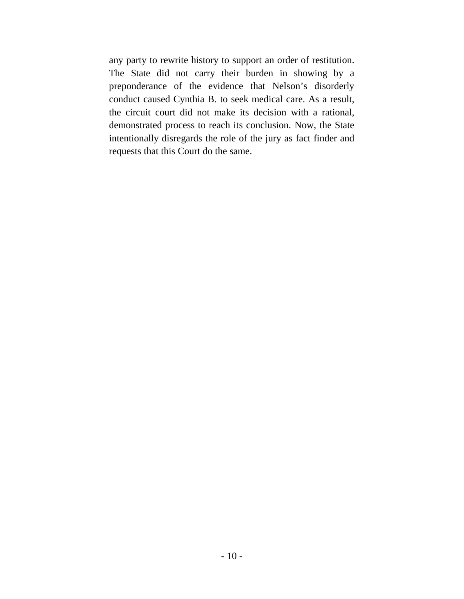any party to rewrite history to support an order of restitution. The State did not carry their burden in showing by a preponderance of the evidence that Nelson's disorderly conduct caused Cynthia B. to seek medical care. As a result, the circuit court did not make its decision with a rational, demonstrated process to reach its conclusion. Now, the State intentionally disregards the role of the jury as fact finder and requests that this Court do the same.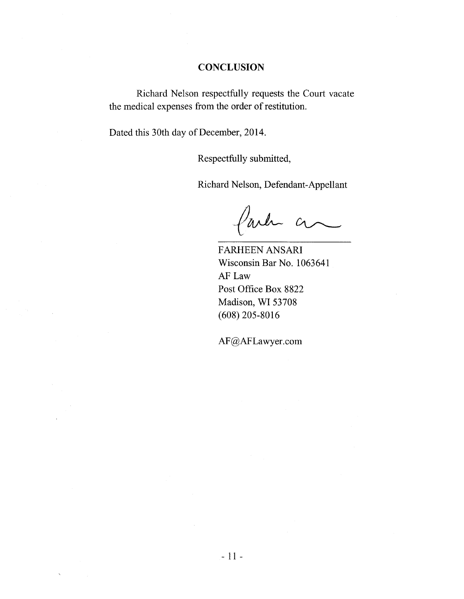### **CONCLUSION**

Richard Nelson respectfully requests the Court vacate the medical expenses from the order of restitution.

Dated this 30th day of December, 2014.

Respectfully submitted,

Richard Nelson, Defendant-Appellant

faile a

FARHEEN ANSARI Wisconsin Bar No. 1063641 AF Law Post Office Box 8822 Madison, WI 53708 (608) 205-8016

AF@AFLawyer.com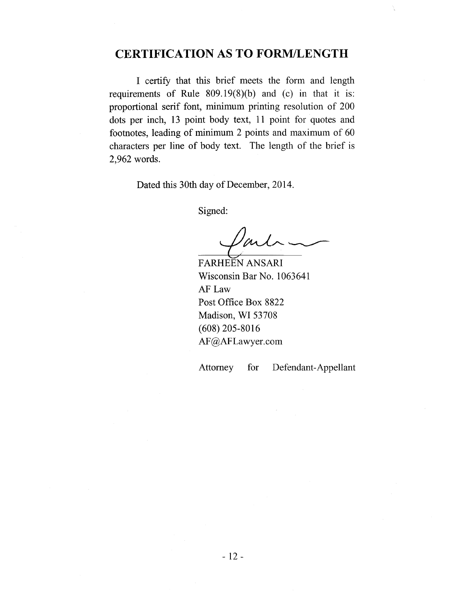# **CERTIFICATION AS TO FORM/LENGTH**

I certify that this brief meets the form and length requirements of Rule 809.19(8)(b) and (c) in that it is: proportional serif font, minimum printing resolution of 200 dots per inch, 13 point body text, 11 point for quotes and footnotes, leading of minimum 2 points and maximum of 60 characters per line of body text. The length of the brief is 2,962 words.

Dated this 30th day of December, 2014.

Signed:

FARHEEN ANSARI Wisconsin Bar No. 1063641 AF Law Post Office Box 8822 Madison, WI 53708 (608) 205-8016 AF@AFLawyer.com

Attorney for Defendant-Appellant